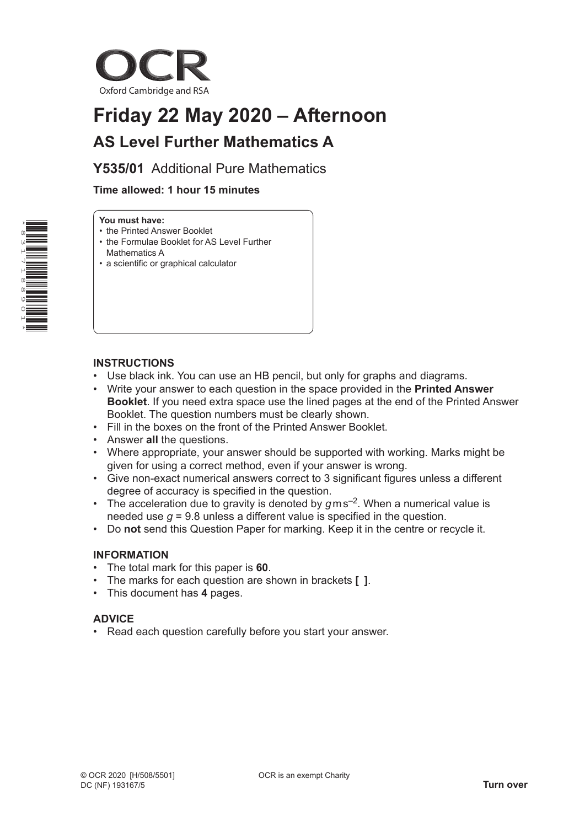

# **Friday 22 May 2020 – Afternoon AS Level Further Mathematics A**

## **Y535/01** Additional Pure Mathematics

### **Time allowed: 1 hour 15 minutes**

#### **You must have:**

- the Printed Answer Booklet
- the Formulae Booklet for AS Level Further Mathematics A
- a scientific or graphical calculator

#### **INSTRUCTIONS**

- Use black ink. You can use an HB pencil, but only for graphs and diagrams.
- Write your answer to each question in the space provided in the **Printed Answer Booklet**. If you need extra space use the lined pages at the end of the Printed Answer Booklet. The question numbers must be clearly shown.
- Fill in the boxes on the front of the Printed Answer Booklet.
- Answer **all** the questions.
- Where appropriate, your answer should be supported with working. Marks might be given for using a correct method, even if your answer is wrong.
- Give non-exact numerical answers correct to 3 significant figures unless a different degree of accuracy is specified in the question.
- The acceleration due to gravity is denoted by *g* m s–2. When a numerical value is needed use *g* = 9.8 unless a different value is specified in the question.
- Do **not** send this Question Paper for marking. Keep it in the centre or recycle it.

#### **INFORMATION**

- The total mark for this paper is **60**.
- The marks for each question are shown in brackets **[ ]**.
- This document has **4** pages.

#### **ADVICE**

• Read each question carefully before you start your answer.

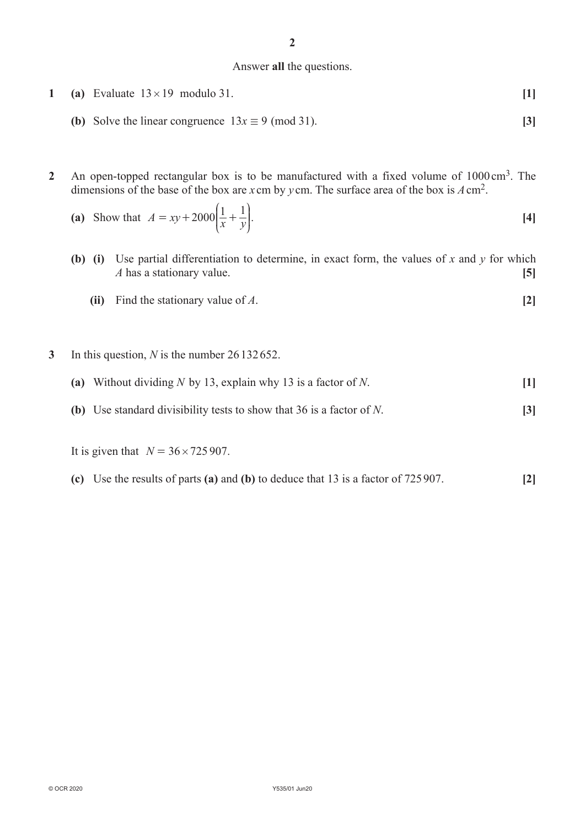#### Answer **all** the questions.

- **1 (a)** Evaluate  $13 \times 19$  modulo 31. **[1]** 
	- **(b)** Solve the linear congruence  $13x \equiv 9 \pmod{31}$ . **[3]**
- **2** An open-topped rectangular box is to be manufactured with a fixed volume of 1000cm3. The dimensions of the base of the box are *x* cm by *y* cm. The surface area of the box is *A*cm2.

(a) Show that 
$$
A = xy + 2000 \left( \frac{1}{x} + \frac{1}{y} \right)
$$
. [4]

- **(b) (i)** Use partial differentiation to determine, in exact form, the values of *x* and *y* for which *A* has a stationary value. **[5]**
	- **(ii)** Find the stationary value of *A*. **[2]**
- **3** In this question, *N* is the number 26132 652.
	- **(a)** Without dividing *N* by 13, explain why 13 is a factor of *N*. **[1]**
	- **(b)** Use standard divisibility tests to show that 36 is a factor of *N*. **[3]**

It is given that  $N = 36 \times 725907$ .

**(c)** Use the results of parts **(a)** and **(b)** to deduce that 13 is a factor of 725907. **[2]**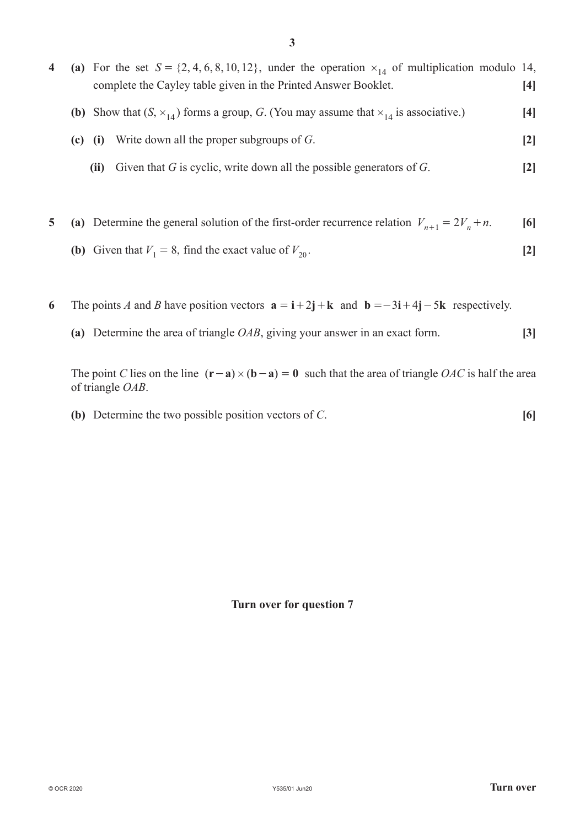|           | (a) For the set $S = \{2, 4, 6, 8, 10, 12\}$ , under the operation $x_{14}$ of multiplication modulo 14,<br>complete the Cayley table given in the Printed Answer Booklet. | [4]                          |
|-----------|----------------------------------------------------------------------------------------------------------------------------------------------------------------------------|------------------------------|
|           | (b) Show that $(S, \times_{14})$ forms a group, G. (You may assume that $\times_{14}$ is associative.)                                                                     | 4                            |
| $(c)$ (i) | Write down all the proper subgroups of $G$ .                                                                                                                               | $\left\lceil 2 \right\rceil$ |
|           | Given that $G$ is cyclic, write down all the possible generators of $G$ .<br>(ii)                                                                                          | 2                            |
|           |                                                                                                                                                                            |                              |

**5 (a)** Determine the general solution of the first-order recurrence relation  $V_{n+1} = 2V_n + n$ . [6]

- **(b)** Given that  $V_1 = 8$ , find the exact value of  $V_{20}$ . [2]
- **6** The points *A* and *B* have position vectors  $\mathbf{a} = \mathbf{i} + 2\mathbf{j} + \mathbf{k}$  and  $\mathbf{b} = -3\mathbf{i} + 4\mathbf{j} 5\mathbf{k}$  respectively.
	- **(a)** Determine the area of triangle *OAB*, giving your answer in an exact form. **[3]**

The point *C* lies on the line  $({\bf r} - {\bf a}) \times ({\bf b} - {\bf a}) = 0$  such that the area of triangle *OAC* is half the area of triangle *OAB*.

**(b)** Determine the two possible position vectors of *C*. **[6]**

**Turn over for question 7**